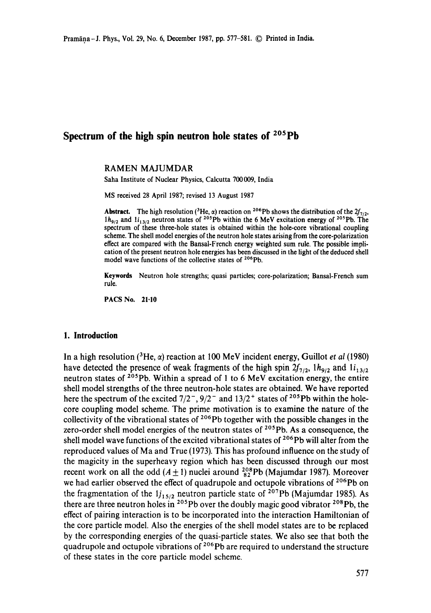# **Spectrum of the high spin neutron hole states of 2°5pb**

RAMEN MAJUMDAR

Saha Institute of Nuclear Physics, Calcutta 700009, India

MS received 28 April 1987; revised 13 August 1987

**Abstract.** The high resolution (<sup>3</sup>He,  $\alpha$ ) reaction on <sup>206</sup>Pb shows the distribution of the  $2f_{7/2}$ ,  $1h_{9/2}$  and  $1i_{13/2}$  neutron states of <sup>205</sup>Pb within the 6 MeV excitation energy of <sup>205</sup>Pb. The spectrum of these three-hole states is obtained within the hole-core vibrational coupling scheme. The shell model energies of the neutron hole states arising from the core-polarization effect are compared with the Bansal-French energy weighted sum rule. The possible implication of the present neutron hole energies has been discussed in the light of the deduced shell model wave functions of the collective states of <sup>206</sup>Pb.

**Keywords** Neutron hole strengths; quasi particles; core-polarization; Bansal-French sum rule.

PACS No. 21.10

### **1. Introduction**

In a high resolution ( ${}^{3}$ He,  $\alpha$ ) reaction at 100 MeV incident energy, Guillot *et al* (1980) have detected the presence of weak fragments of the high spin  $2f_{7/2}$ ,  $1h_{9/2}$  and  $1i_{13/2}$ neutron states of  $^{205}Pb$ . Within a spread of 1 to 6 MeV excitation energy, the entire shell model strengths of the three neutron-hole states are obtained. We have reported here the spectrum of the excited  $7/2^-$ ,  $9/2^-$  and  $13/2^+$  states of <sup>205</sup>Pb within the holecore coupling model scheme. The prime motivation is to examine the nature of the collectivity of the vibrational states of  $206Pb$  together with the possible changes in the zero-order shell model energies of the neutron states of  $205Pb$ . As a consequence, the shell model wave functions of the excited vibrational states of  $206Pb$  will alter from the reproduced values of Ma and True (1973). This has profound influence on the study of the magicity in the superheavy region which has been discussed through our most recent work on all the odd  $(A \pm 1)$  nuclei around  $^{208}_{82}Pb$  (Majumdar 1987). Moreover we had earlier observed the effect of quadrupole and octupole vibrations of <sup>206</sup>Pb on the fragmentation of the  $1j_{15/2}$  neutron particle state of <sup>207</sup>Pb (Majumdar 1985). As there are three neutron holes in  $2^{0.5}Pb$  over the doubly magic good vibrator  $2^{0.8}Pb$ , the effect of pairing interaction is to be incorporated into the interaction Hamiltonian of the core particle model. Also the energies of the shell model states are to be replaced by the corresponding energies of the quasi-particle states. We also see that both the quadrupole and octupole vibrations of  $2^{06}Pb$  are required to understand the structure of these states in the core particle model scheme.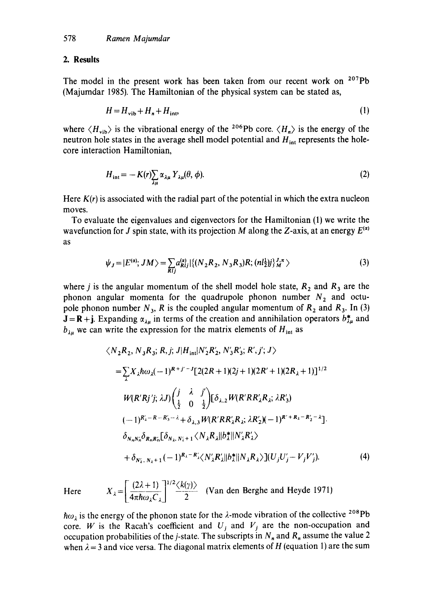#### **2. Results**

The model in the present work has been taken from our recent work on  $207Pb$ (Majumdar 1985). The Hamiltonian of the physical system can be stated as,

$$
H = H_{\rm vib} + H_n + H_{\rm int},\tag{1}
$$

where  $\langle H_{\text{vib}} \rangle$  is the vibrational energy of the <sup>206</sup>Pb core.  $\langle H_{n} \rangle$  is the energy of the neutron hole states in the average shell model potential and  $H_{int}$  represents the holecore interaction Hamiltonian,

$$
H_{\rm int} = -K(r)\sum_{\lambda\mu} \alpha_{\lambda\mu} Y_{\lambda\mu}(\theta, \phi). \tag{2}
$$

Here  $K(r)$  is associated with the radial part of the potential in which the extra nucleon moves.

To evaluate the eigenvalues and eigenvectors for the Hamiltonian (1) we write the wavefunction for J spin state, with its projection M along the Z-axis, at an energy  $E^{(\alpha)}$ as

$$
\psi_J = |E^{(\alpha)}; JM \rangle = \sum_{Rij} a_{Rij}^{(\alpha)} | \{ (N_2 R_2, N_3 R_3) R; (n l_2^{\perp}) j_M^{J,\pi} \rangle
$$
 (3)

where *j* is the angular momentum of the shell model hole state,  $R_2$  and  $R_3$  are the phonon angular momenta for the quadrupole phonon number  $N_2$  and octupole phonon number  $N_3$ , R is the coupled angular momentum of  $R_2$  and  $R_3$ . In (3)  $J = R + j$ . Expanding  $\alpha_{\lambda\mu}$  in terms of the creation and annihilation operators  $b^*_{\lambda\mu}$  and  $b_{\lambda u}$  we can write the expression for the matrix elements of  $H_{int}$  as

$$
\langle N_{2}R_{2}, N_{3}R_{3}; R, j; J | H_{int} | N'_{2}R'_{2}, N'_{3}R'_{3}; R', j'; J \rangle
$$
  
\n
$$
= \sum_{\lambda} X_{\lambda} \hbar \omega_{\lambda} (-1)^{R+j'-J} [2(2R+1)(2j+1)(2R'+1)(2R_{\lambda}+1)]^{1/2}
$$
  
\n
$$
W(R'Rj'j; \lambda J) \left(\frac{j}{\frac{1}{2}} - \frac{\lambda}{0} - \frac{j'}{2}\right) [\delta_{\lambda,2} W(R'RR'_{\lambda}R_{\lambda}; \lambda R'_{3})
$$
  
\n
$$
(-1)^{R'_{\lambda}-R-R'_{3}-\lambda} + \delta_{\lambda,3} W(R'RR'_{\lambda}R_{\lambda}; \lambda R'_{2})(-1)^{R'+R_{\lambda}-R'_{2}-\lambda}].
$$
  
\n
$$
\delta_{N_{n}N'_{n}} \delta_{R_{n}R'_{n}} [\delta_{N_{\lambda}, N_{\lambda}+1} \langle N_{\lambda}R_{\lambda} || b_{\lambda}^{*} || N'_{\lambda}R'_{\lambda} \rangle
$$
  
\n
$$
+ \delta_{N'_{\lambda}, N_{\lambda}+1} (-1)^{R_{\lambda}-R'_{\lambda}} \langle N'_{\lambda}R'_{\lambda} || b_{\lambda}^{*} || N_{\lambda}R_{\lambda} \rangle ] (U_{j}U'_{j}-V_{j}V'_{j}). \tag{4}
$$

Here  $X_{\lambda} = \left[ \frac{(2\lambda + 1)}{4\pi \hbar \omega_{\lambda} C_{\lambda}} \right]^{1/2} \frac{\langle k(\gamma) \rangle}{2}$  (Van den Berghe and Heyde 1971)

 $\hbar \omega_{\lambda}$  is the energy of the phonon state for the  $\lambda$ -mode vibration of the collective <sup>208</sup>Pb core. W is the Racah's coefficient and  $U_j$  and  $V_j$  are the non-occupation and occupation probabilities of the j-state. The subscripts in  $N_n$  and  $R_n$  assume the value 2 when  $\lambda = 3$  and vice versa. The diagonal matrix elements of H (equation 1) are the sum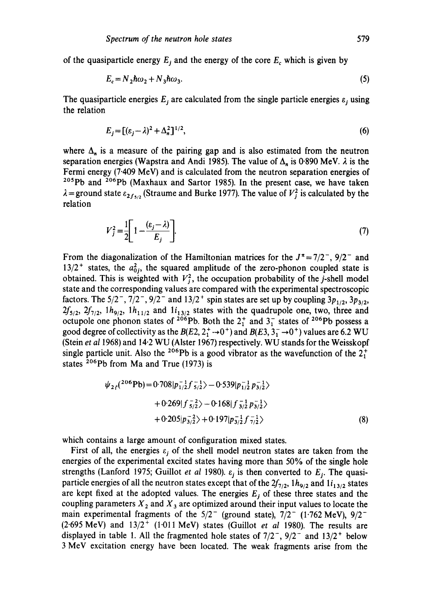of the quasiparticle energy  $E_j$  and the energy of the core  $E_c$  which is given by

$$
E_c = N_2 \hbar \omega_2 + N_3 \hbar \omega_3. \tag{5}
$$

The quasiparticle energies  $E_j$  are calculated from the single particle energies  $\varepsilon_j$  using the relation

$$
E_j = [(\varepsilon_j - \lambda)^2 + \Delta_n^2]^{1/2},\tag{6}
$$

where  $\Delta_n$  is a measure of the pairing gap and is also estimated from the neutron separation energies (Wapstra and Andi 1985). The value of  $\Delta_n$  is 0.890 MeV.  $\lambda$  is the Fermi energy (7"409 MeV) and is calculated from the neutron separation energies of <sup>205</sup>Pb and <sup>206</sup>Pb (Maxhaux and Sartor 1985). In the present case, we have taken  $\lambda =$  ground state  $\varepsilon_{2f_5/2}$  (Straume and Burke 1977). The value of  $V_j^2$  is calculated by the relation

$$
V_j^2 = \frac{1}{2} \left[ 1 - \frac{(\varepsilon_j - \lambda)}{E_j} \right].
$$
 (7)

From the diagonalization of the Hamiltonian matrices for the  $J^* = 7/2^-$ ,  $9/2^-$  and  $13/2^+$  states, the  $a_{0i}^2$ , the squared amplitude of the zero-phonon coupled state is obtained. This is weighted with  $V_j^2$ , the occupation probability of the j-shell model state and the corresponding values are compared with the experimental spectroscopic factors. The  $5/2^-$ ,  $7/2^-$ ,  $9/2^-$  and  $13/2^+$  spin states are set up by coupling  $3p_{1/2}$ ,  $3p_{3/2}$ ,  $2f_{5/2}$ ,  $2f_{7/2}$ ,  $1h_{9/2}$ ,  $1h_{11/2}$  and  $1i_{13/2}$  states with the quadrupole one, two, three and octupole one phonon states of <sup>206</sup>Pb. Both the  $2<sub>1</sub><sup>+</sup>$  and  $3<sub>1</sub><sup>-</sup>$  states of <sup>206</sup>Pb possess a good degree of collectivity as the  $B(E2, 2^+_1 \rightarrow 0^+ )$  and  $B(E3, 3^-_1 \rightarrow 0^+ )$  values are 6.2 WU (Stein *et al* 1968) and 14.2 WU (AIster 1967) respectively. WU stands for the Weisskopf single particle unit. Also the <sup>206</sup>Pb is a good vibrator as the wavefunction of the  $2^{+}_{1}$ states  $^{206}Pb$  from Ma and True (1973) is

$$
\psi_{2f}(^{206}Pb) = 0.708|p_{1/2}^{-1}f_{5/2}^{-1}\rangle - 0.539|p_{1/2}^{-1}p_{3/2}^{-1}\rangle + 0.269|f_{5/2}^{-2}\rangle - 0.168|f_{3/2}^{-1}p_{3/2}^{-1}\rangle + 0.205|p_{3/2}^{-2}\rangle + 0.197|p_{3/2}^{-1}f_{7/2}^{-1}\rangle
$$
(8)

which contains a large amount of configuration mixed states.

First of all, the energies  $\varepsilon_i$  of the shell model neutron states are taken from the energies of the experimental excited states having more than 50% of the single hole strengths (Lanford 1975; Guillot *et al* 1980).  $\varepsilon_j$  is then converted to  $E_j$ . The quasiparticle energies of all the neutron states except that of the  $2f_{7/2}$ ,  $1h_{9/2}$  and  $1i_{13/2}$  states are kept fixed at the adopted values. The energies  $E_j$  of these three states and the coupling parameters  $X_2$  and  $X_3$  are optimized around their input values to locate the main experimental fragments of the  $5/2^-$  (ground state),  $7/2^-$  (1.762 MeV),  $9/2^ (2.695 \text{ MeV})$  and  $13/2^+$   $(1.011 \text{ MeV})$  states (Guillot *et al* 1980). The results are displayed in table 1. All the fragmented hole states of  $7/2^-$ ,  $9/2^-$  and  $13/2^+$  below 3 MeV excitation energy have been located. The weak fragments arise from the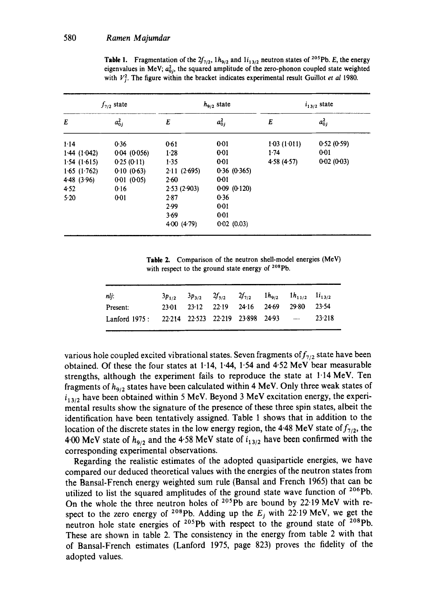| $f_{7/2}$ state |             | $h_{9/2}$ state |             | $i_{13/2}$ state |            |  |
|-----------------|-------------|-----------------|-------------|------------------|------------|--|
| E               | $a_{0j}^2$  | E               | $a_{0j}^2$  | E                | $a_{0j}^2$ |  |
| 1.14            | 0.36        | 0.61            | 0.01        | 1.03(1.011)      | 0.52(0.59) |  |
| 1.44(1.042)     | 0.04(0.056) | 1.28            | 0:01        | 1.74             | $0 - 01$   |  |
| 1.54(1.615)     | 0.25(0.11)  | 1.35            | 0.01        | 4.58(4.57)       | 0.02(0.03) |  |
| $1.65$ (1.762)  | 0.10(0.63)  | 2.11(2.695)     | 0.36(0.365) |                  |            |  |
| 4.48 $(3.96)$   | 0.01(0.05)  | 2.60            | $0 - 01$    |                  |            |  |
| 4.52            | 0.16        | 2.53(2.903)     | 0.09(0.120) |                  |            |  |
| 5.20            | 0:01        | 2.87            | 0.36        |                  |            |  |
|                 |             | 2.99            | 0:01        |                  |            |  |
|                 |             | 3.69            | 0.01        |                  |            |  |
|                 |             | $4-00(4-79)$    | 0.02(0.03)  |                  |            |  |

**Table 1.** Fragmentation of the  $2f_{7/2}$ ,  $1h_{9/2}$  and  $1i_{13/2}$  neutron states of <sup>205</sup>Pb. E, the energy eigenvalues in MeV;  $a_{0i}^2$ , the squared amplitude of the zero-phonon coupled state weighted with  $V<sub>i</sub><sup>2</sup>$ . The figure within the bracket indicates experimental result Guillot *et al* 1980.

**Table** 2. Comparison of the neutron shell-model energies (MeV) with respect to the ground state energy of  $208Pb$ .

| nli:                                                |  | $3p_{1/2}$ $3p_{3/2}$ $2f_{5/2}$ $2f_{7/2}$ $1h_{9/2}$ $1h_{11/2}$ $1i_{13/2}$ |  |        |
|-----------------------------------------------------|--|--------------------------------------------------------------------------------|--|--------|
| Present:                                            |  | 23.01 23.12 22.19 24.16 24.69 29.80 23.54                                      |  |        |
| Lanford $1975:$ 22.214 22.523 22.219 23.898 24.93 - |  |                                                                                |  | 23.218 |

various hole coupled excited vibrational states. Seven fragments of  $f_{7/2}$  state have been obtained. Of these the four states at 1-14, 1.44, 1.54 and 4.52 MeV bear measurable strengths, although the experiment fails to reproduce the state at  $1.14 \text{ MeV}$ . Ten fragments of *hg/2* states have been calculated within 4 MeV. Only three weak states of  $i_{13/2}$  have been obtained within 5 MeV. Beyond 3 MeV excitation energy, the experimental results show the signature of the presence of these three spin states, albeit the identification have been tentatively assigned. Table 1 shows that in addition to the location of the discrete states in the low energy region, the 4.48 MeV state of  $f_{7/2}$ , the 4.00 MeV state of  $h_{9/2}$  and the 4.58 MeV state of  $i_{13/2}$  have been confirmed with the corresponding experimental observations.

Regarding the realistic estimates of the adopted quasiparticle energies, we have compared our deduced theoretical values with the energies of the neutron states from the Bansal-French energy weighted sum rule (Bansal and French 1965) that can be utilized to list the squared amplitudes of the ground state wave function of <sup>206</sup>Pb. On the whole the three neutron holes of  $205\text{Pb}$  are bound by 22.19 MeV with respect to the zero energy of <sup>208</sup>Pb. Adding up the  $E_j$  with 22.19 MeV, we get the neutron hole state energies of <sup>205</sup>Pb with respect to the ground state of <sup>208</sup>Pb. These are shown in table 2. The consistency in the energy from table 2 with that of Bansal-French estimates (Lanford 1975, page 823) proves the fidelity of the adopted values.